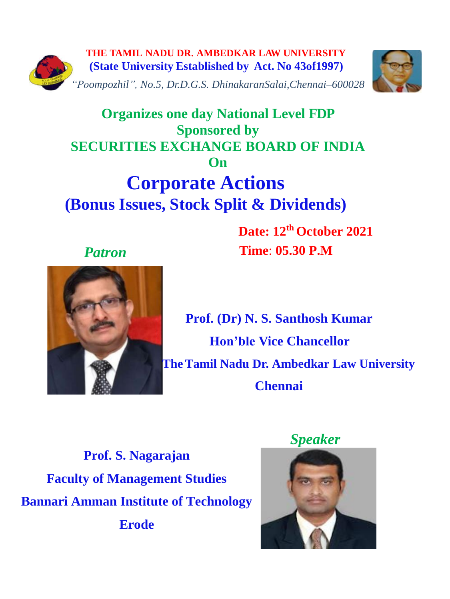



## **Organizes one day National Level FDP Sponsored by SECURITIES EXCHANGE BOARD OF INDIA On Corporate Actions (Bonus Issues, Stock Split & Dividends)**

 **Date: 12th October 2021**  *Patron* **Time**: **05.30 P.M**





**Prof. (Dr) N. S. Santhosh Kumar Hon'ble Vice Chancellor TheTamil Nadu Dr. Ambedkar Law University Chennai**

**Prof. S. Nagarajan Faculty of Management Studies Bannari Amman Institute of Technology Erode**

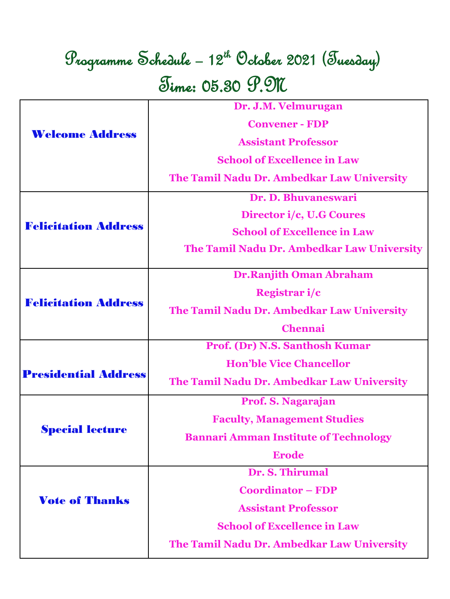# Programme Schedule – 12th October 2021 (Tuesday) Time: 05.30 P.M

| <b>Welcome Address</b>      | Dr. J.M. Velmurugan                          |
|-----------------------------|----------------------------------------------|
|                             | <b>Convener - FDP</b>                        |
|                             | <b>Assistant Professor</b>                   |
|                             | <b>School of Excellence in Law</b>           |
|                             | The Tamil Nadu Dr. Ambedkar Law University   |
| <b>Felicitation Address</b> | Dr. D. Bhuvaneswari                          |
|                             | Director i/c, U.G Coures                     |
|                             | <b>School of Excellence in Law</b>           |
|                             | The Tamil Nadu Dr. Ambedkar Law University   |
| <b>Felicitation Address</b> | <b>Dr.Ranjith Oman Abraham</b>               |
|                             | Registrar i/c                                |
|                             | The Tamil Nadu Dr. Ambedkar Law University   |
|                             | <b>Chennai</b>                               |
|                             | Prof. (Dr) N.S. Santhosh Kumar               |
| <b>Presidential Address</b> | <b>Hon'ble Vice Chancellor</b>               |
|                             | The Tamil Nadu Dr. Ambedkar Law University   |
|                             | Prof. S. Nagarajan                           |
| <b>Special lecture</b>      | <b>Faculty, Management Studies</b>           |
|                             | <b>Bannari Amman Institute of Technology</b> |
|                             | <b>Erode</b>                                 |
| <b>Vote of Thanks</b>       | Dr. S. Thirumal                              |
|                             | <b>Coordinator – FDP</b>                     |
|                             | <b>Assistant Professor</b>                   |
|                             | <b>School of Excellence in Law</b>           |
|                             | The Tamil Nadu Dr. Ambedkar Law University   |
|                             |                                              |